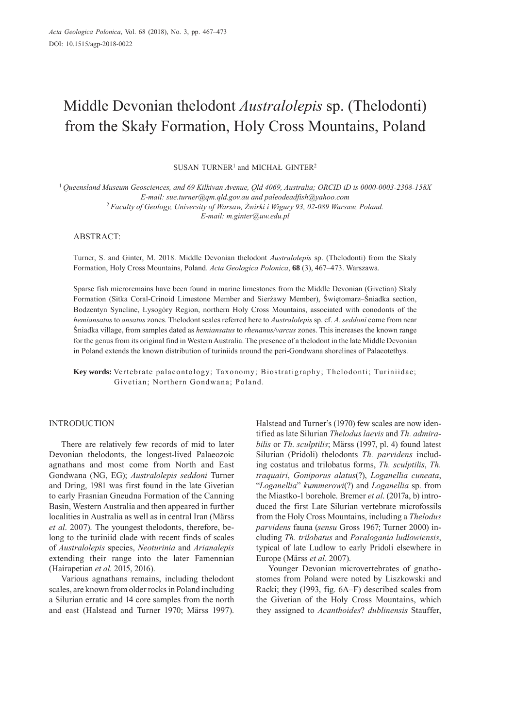# Middle Devonian thelodont *Australolepis* sp. (Thelodonti) from the Skały Formation, Holy Cross Mountains, Poland

SUSAN TURNER<sup>1</sup> and MICHAŁ GINTER<sup>2</sup>

<sup>1</sup>*Queensland Museum Geosciences, and 69 Kilkivan Avenue, Qld 4069, Australia; ORCID iD is 0000-0003-2308-158X E-mail: sue.turner@qm.qld.gov.au and paleodeadfish@yahoo.com* <sup>2</sup>*Faculty of Geology, University of Warsaw, Żwirki i Wigury 93, 02-089 Warsaw, Poland.*

*E-mail: m.ginter@uw.edu.pl*

## ABSTRACT:

Turner, S. and Ginter, M. 2018. Middle Devonian thelodont *Australolepis* sp. (Thelodonti) from the Skały Formation, Holy Cross Mountains, Poland. *Acta Geologica Polonica*, **68** (3), 467–473. Warszawa.

Sparse fish microremains have been found in marine limestones from the Middle Devonian (Givetian) Skały Formation (Sitka Coral-Crinoid Limestone Member and Sierżawy Member), Świętomarz–Śniadka section, Bodzentyn Syncline, Łysogóry Region, northern Holy Cross Mountains, associated with conodonts of the *hemiansatus* to *ansatus* zones. Thelodont scales referred here to *Australolepis* sp. cf. *A. seddoni* come from near Śniadka village, from samples dated as *hemiansatus* to *rhenanus/varcus* zones. This increases the known range for the genus from its original find in Western Australia. The presence of a thelodont in the late Middle Devonian in Poland extends the known distribution of turiniids around the peri-Gondwana shorelines of Palaeotethys.

**Key words:** Vertebrate palaeontology; Taxonomy; Biostratigraphy; Thelodonti; Turiniidae; Givetian; Northern Gondwana; Poland.

# INTRODUCTION

There are relatively few records of mid to later Devonian thelodonts, the longest-lived Palaeozoic agnathans and most come from North and East Gondwana (NG, EG); *Australolepis seddoni* Turner and Dring, 1981 was first found in the late Givetian to early Frasnian Gneudna Formation of the Canning Basin, Western Australia and then appeared in further localities in Australia as well as in central Iran (Märss *et al*. 2007). The youngest thelodonts, therefore, belong to the turiniid clade with recent finds of scales of *Australolepis* species, *Neoturinia* and *Arianalepis* extending their range into the later Famennian (Hairapetian *et al*. 2015, 2016).

Various agnathans remains, including thelodont scales, are known from older rocks in Poland including a Silurian erratic and 14 core samples from the north and east (Halstead and Turner 1970; Märss 1997). Halstead and Turner's (1970) few scales are now identified as late Silurian *Thelodus laevis* and *Th. admirabilis* or *Th*. *sculptilis*; Märss (1997, pl. 4) found latest Silurian (Pridoli) thelodonts *Th. parvidens* including costatus and trilobatus forms, *Th. sculptilis*, *Th. traquairi*, *Goniporus alatus*(?), *Loganellia cuneata*, "*Loganellia*" *kummerowi*(?) and *Loganellia* sp. from the Miastko-1 borehole. Bremer *et al*. (2017a, b) introduced the first Late Silurian vertebrate microfossils from the Holy Cross Mountains, including a *Thelodus parvidens* fauna (*sensu* Gross 1967; Turner 2000) including *Th. trilobatus* and *Paralogania ludlowiensis*, typical of late Ludlow to early Pridoli elsewhere in Europe (Märss *et al*. 2007).

Younger Devonian microvertebrates of gnathostomes from Poland were noted by Liszkowski and Racki; they (1993, fig. 6A–F) described scales from the Givetian of the Holy Cross Mountains, which they assigned to *Acanthoides*? *dublinensis* Stauffer,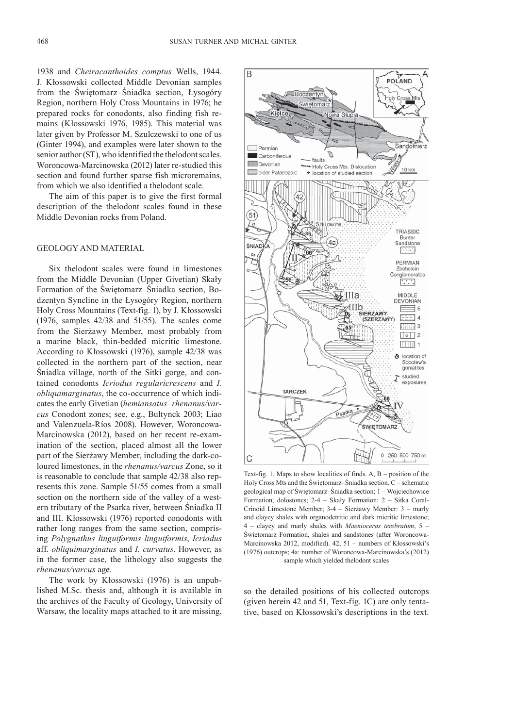1938 and *Cheiracanthoides comptus* Wells, 1944. J. Kłossowski collected Middle Devonian samples from the Świętomarz–Śniadka section, Łysogóry Region, northern Holy Cross Mountains in 1976; he prepared rocks for conodonts, also finding fish remains (Kłossowski 1976, 1985). This material was later given by Professor M. Szulczewski to one of us (Ginter 1994), and examples were later shown to the senior author (ST), who identified the thelodont scales. Woroncowa-Marcinowska (2012) later re-studied this section and found further sparse fish microremains, from which we also identified a thelodont scale.

The aim of this paper is to give the first formal description of the thelodont scales found in these Middle Devonian rocks from Poland.

#### GEOLOGY AND MATERIAL

Six thelodont scales were found in limestones from the Middle Devonian (Upper Givetian) Skały Formation of the Świętomarz–Śniadka section, Bodzentyn Syncline in the Łysogóry Region, northern Holy Cross Mountains (Text-fig. 1), by J. Kłossowski (1976, samples 42/38 and 51/55). The scales come from the Sierżawy Member, most probably from a marine black, thin-bedded micritic limestone. According to Kłossowski (1976), sample 42/38 was collected in the northern part of the section, near Śniadka village, north of the Sitki gorge, and contained conodonts *Icriodus regularicrescens* and *I. obliquimarginatus*, the co-occurrence of which indicates the early Givetian (*hemiansatus*–*rhenanus/varcus* Conodont zones; see, e.g., Bultynck 2003; Liao and Valenzuela-Ríos 2008). However, Woroncowa-Marcinowska (2012), based on her recent re-examination of the section, placed almost all the lower part of the Sierżawy Member, including the dark-coloured limestones, in the *rhenanus/varcus* Zone, so it is reasonable to conclude that sample 42/38 also represents this zone. Sample 51/55 comes from a small section on the northern side of the valley of a western tributary of the Psarka river, between Śniadka II and III. Kłossowski (1976) reported conodonts with rather long ranges from the same section, comprising *Polygnathus linguiformis linguiformis*, *Icriodus*  aff. *obliquimarginatus* and *I. curvatus*. However, as in the former case, the lithology also suggests the *rhenanus/varcus* age.

The work by Kłossowski (1976) is an unpublished M.Sc. thesis and, although it is available in the archives of the Faculty of Geology, University of Warsaw, the locality maps attached to it are missing,



Text-fig. 1. Maps to show localities of finds. A, B – position of the Holy Cross Mts and the Świętomarz–Śniadka section. C – schematic geological map of Świętomarz–Śniadka section; 1 – Wojciechowice Formation, dolostones; 2-4 – Skały Formation: 2 – Sitka Coral-Crinoid Limestone Member; 3-4 – Sierżawy Member: 3 – marly and clayey shales with organodetritic and dark micritic limestone; 4 – clayey and marly shales with *Maenioceras terebratum*, 5 – Świętomarz Formation, shales and sandstones (after Woroncowa-Marcinowska 2012, modified). 42, 51 – numbers of Kłossowski's (1976) outcrops; 4a: number of Woroncowa-Marcinowska's (2012) sample which yielded thelodont scales

so the detailed positions of his collected outcrops (given herein 42 and 51, Text-fig. 1C) are only tentative, based on Kłossowski's descriptions in the text.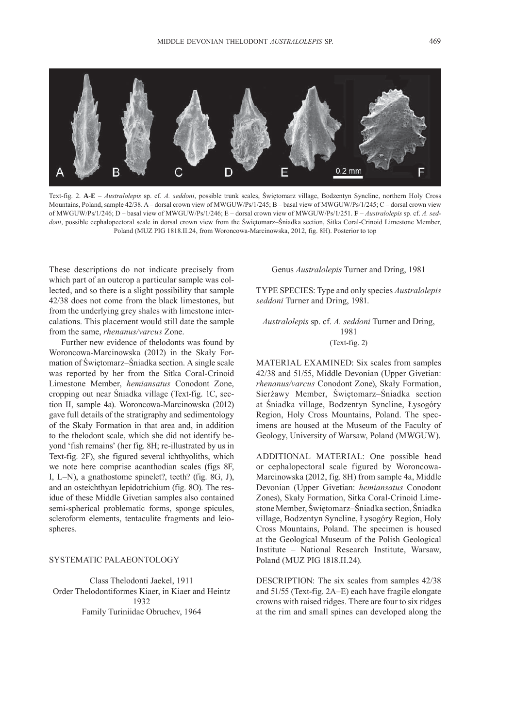

Text-fig. 2. **A**-**E** – *Australolepis* sp. cf. *A. seddoni*, possible trunk scales, Świętomarz village, Bodzentyn Syncline, northern Holy Cross Mountains, Poland, sample 42/38. A – dorsal crown view of MWGUW/Ps/1/245; B – basal view of MWGUW/Ps/1/245; C – dorsal crown view of MWGUW/Ps/1/246; D – basal view of MWGUW/Ps/1/246; E – dorsal crown view of MWGUW/Ps/1/251. **F** – *Australolepis* sp. cf. *A. seddoni*, possible cephalopectoral scale in dorsal crown view from the Świętomarz–Śniadka section, Sitka Coral-Crinoid Limestone Member, Poland (MUZ PIG 1818.II.24, from Woroncowa-Marcinowska, 2012, fig. 8H). Posterior to top

These descriptions do not indicate precisely from which part of an outcrop a particular sample was collected, and so there is a slight possibility that sample 42/38 does not come from the black limestones, but from the underlying grey shales with limestone intercalations. This placement would still date the sample from the same, *rhenanus/varcus* Zone.

Further new evidence of thelodonts was found by Woroncowa-Marcinowska (2012) in the Skały Formation of Świętomarz–Śniadka section. A single scale was reported by her from the Sitka Coral-Crinoid Limestone Member, *hemiansatus* Conodont Zone, cropping out near Śniadka village (Text-fig. 1C, section II, sample 4a). Woroncowa-Marcinowska (2012) gave full details of the stratigraphy and sedimentology of the Skały Formation in that area and, in addition to the thelodont scale, which she did not identify beyond 'fish remains' (her fig. 8H; re-illustrated by us in Text-fig. 2F), she figured several ichthyoliths, which we note here comprise acanthodian scales (figs 8F, I, L–N), a gnathostome spinelet?, teeth? (fig. 8G, J), and an osteichthyan lepidotrichium (fig. 8O). The residue of these Middle Givetian samples also contained semi-spherical problematic forms, sponge spicules, scleroform elements, tentaculite fragments and leiospheres.

### SYSTEMATIC PALAEONTOLOGY

Class Thelodonti Jaekel, 1911 Order Thelodontiformes Kiaer, in Kiaer and Heintz 1932 Family Turiniidae Obruchev, 1964

Genus *Australolepis* Turner and Dring, 1981

TYPE SPECIES: Type and only species *Australolepis seddoni* Turner and Dring, 1981.

*Australolepis* sp. cf. *A. seddoni* Turner and Dring, 1981 (Text-fig. 2)

MATERIAL EXAMINED: Six scales from samples 42/38 and 51/55, Middle Devonian (Upper Givetian: *rhenanus/varcus* Conodont Zone), Skały Formation, Sierżawy Member, Świętomarz–Śniadka section at Śniadka village, Bodzentyn Syncline, Łysogóry Region, Holy Cross Mountains, Poland. The specimens are housed at the Museum of the Faculty of Geology, University of Warsaw, Poland (MWGUW).

ADDITIONAL MATERIAL: One possible head or cephalopectoral scale figured by Woroncowa-Marcinowska (2012, fig. 8H) from sample 4a, Middle Devonian (Upper Givetian: *hemiansatus* Conodont Zones), Skały Formation, Sitka Coral-Crinoid Limestone Member, Świętomarz–Śniadka section, Śniadka village, Bodzentyn Syncline, Łysogóry Region, Holy Cross Mountains, Poland. The specimen is housed at the Geological Museum of the Polish Geological Institute – National Research Institute, Warsaw, Poland (MUZ PIG 1818.II.24).

DESCRIPTION: The six scales from samples 42/38 and 51/55 (Text-fig. 2A–E) each have fragile elongate crowns with raised ridges. There are four to six ridges at the rim and small spines can developed along the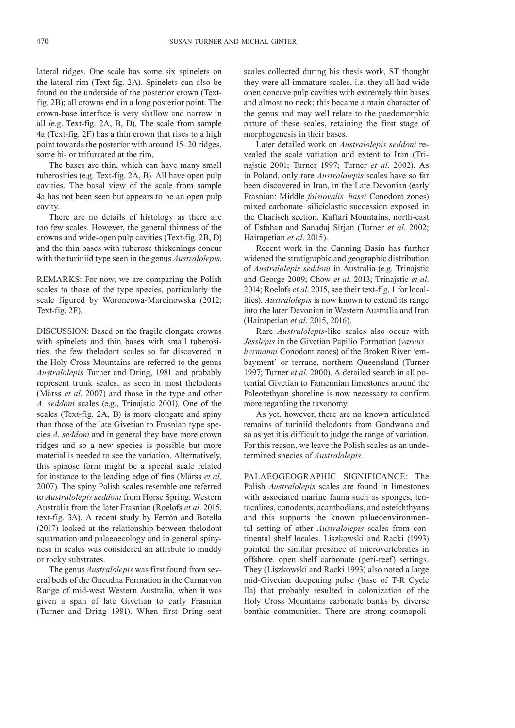lateral ridges. One scale has some six spinelets on the lateral rim (Text-fig. 2A). Spinelets can also be found on the underside of the posterior crown (Textfig. 2B); all crowns end in a long posterior point. The crown-base interface is very shallow and narrow in all (e.g. Text-fig. 2A, B, D). The scale from sample 4a (Text-fig. 2F) has a thin crown that rises to a high point towards the posterior with around 15–20 ridges, some bi- or trifurcated at the rim.

The bases are thin, which can have many small tuberosities (e.g. Text-fig. 2A, B). All have open pulp cavities. The basal view of the scale from sample 4a has not been seen but appears to be an open pulp cavity.

There are no details of histology as there are too few scales. However, the general thinness of the crowns and wide-open pulp cavities (Text-fig. 2B, D) and the thin bases with tuberose thickenings concur with the turiniid type seen in the genus *Australolepis*.

REMARKS: For now, we are comparing the Polish scales to those of the type species, particularly the scale figured by Woroncowa-Marcinowska (2012; Text-fig. 2F).

DISCUSSION: Based on the fragile elongate crowns with spinelets and thin bases with small tuberosities, the few thelodont scales so far discovered in the Holy Cross Mountains are referred to the genus *Australolepis* Turner and Dring, 1981 and probably represent trunk scales, as seen in most thelodonts (Märss *et al*. 2007) and those in the type and other *A. seddoni* scales (e.g., Trinajstic 2001). One of the scales (Text-fig. 2A, B) is more elongate and spiny than those of the late Givetian to Frasnian type species *A. seddoni* and in general they have more crown ridges and so a new species is possible but more material is needed to see the variation. Alternatively, this spinose form might be a special scale related for instance to the leading edge of fins (Märss *et al*. 2007). The spiny Polish scales resemble one referred to *Australolepis seddoni* from Horse Spring, Western Australia from the later Frasnian (Roelofs *et al*. 2015, text-fig. 3A). A recent study by Ferrón and Botella (2017) looked at the relationship between thelodont squamation and palaeoecology and in general spinyness in scales was considered an attribute to muddy or rocky substrates.

The genus *Australolepis* was first found from several beds of the Gneudna Formation in the Carnarvon Range of mid-west Western Australia, when it was given a span of late Givetian to early Frasnian (Turner and Dring 1981). When first Dring sent scales collected during his thesis work, ST thought they were all immature scales, i.e. they all had wide open concave pulp cavities with extremely thin bases and almost no neck; this became a main character of the genus and may well relate to the paedomorphic nature of these scales, retaining the first stage of morphogenesis in their bases.

Later detailed work on *Australolepis seddoni* revealed the scale variation and extent to Iran (Trinajstic 2001; Turner 1997; Turner *et al*. 2002). As in Poland, only rare *Australolepis* scales have so far been discovered in Iran, in the Late Devonian (early Frasnian: Middle *falsiovalis*–*hassi* Conodont zones) mixed carbonate–siliciclastic succession exposed in the Chariseh section, Kaftari Mountains, north-east of Esfahan and Sanadaj Sirjan (Turner *et al*. 2002; Hairapetian *et al*. 2015).

Recent work in the Canning Basin has further widened the stratigraphic and geographic distribution of *Australolepis seddoni* in Australia (e.g. Trinajstic and George 2009; Chow *et al*. 2013; Trinajstic *et al*. 2014; Roelofs *et al*. 2015, see their text-fig. 1 for localities). *Australolepis* is now known to extend its range into the later Devonian in Western Australia and Iran (Hairapetian *et al*. 2015, 2016).

Rare *Australolepis*-like scales also occur with *Jesslepis* in the Givetian Papilio Formation (*varcus– hermanni* Conodont zones) of the Broken River 'embayment' or terrane, northern Queensland (Turner 1997; Turner *et al*. 2000). A detailed search in all potential Givetian to Famennian limestones around the Paleotethyan shoreline is now necessary to confirm more regarding the taxonomy.

As yet, however, there are no known articulated remains of turiniid thelodonts from Gondwana and so as yet it is difficult to judge the range of variation. For this reason, we leave the Polish scales as an undetermined species of *Australolepis*.

PALAEOGEOGRAPHIC SIGNIFICANCE: The Polish *Australolepis* scales are found in limestones with associated marine fauna such as sponges, tentaculites, conodonts, acanthodians, and osteichthyans and this supports the known palaeoenvironmental setting of other *Australolepis* scales from continental shelf locales. Liszkowski and Racki (1993) pointed the similar presence of microvertebrates in offshore. open shelf carbonate (peri-reef) settings. They (Liszkowski and Racki 1993) also noted a large mid-Givetian deepening pulse (base of T-R Cycle lIa) that probably resulted in colonization of the Holy Cross Mountains carbonate banks by diverse benthic communities. There are strong cosmopoli-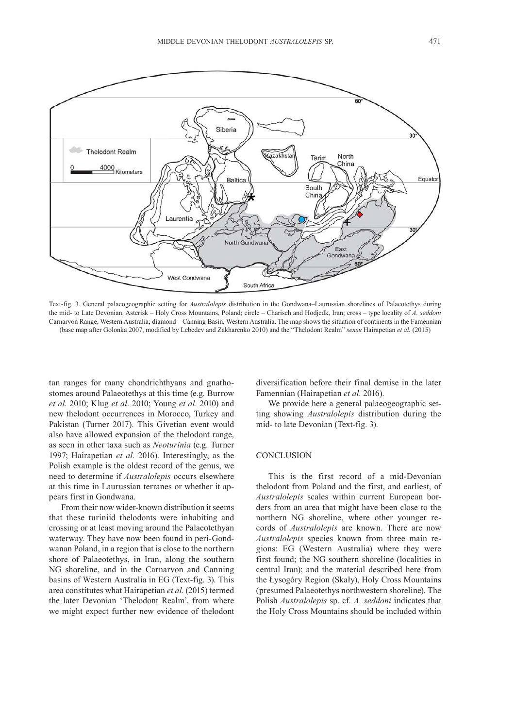

Text-fig. 3. General palaeogeographic setting for *Australolepis* distribution in the Gondwana–Laurussian shorelines of Palaeotethys during the mid- to Late Devonian. Asterisk – Holy Cross Mountains, Poland; circle – Chariseh and Hodjedk, Iran; cross – type locality of *A. seddoni* Carnarvon Range, Western Australia; diamond – Canning Basin, Western Australia. The map shows the situation of continents in the Famennian (base map after Golonka 2007, modified by Lebedev and Zakharenko 2010) and the "Thelodont Realm" *sensu* Hairapetian *et al.* (2015)

tan ranges for many chondrichthyans and gnathostomes around Palaeotethys at this time (e.g. Burrow *et al*. 2010; Klug *et al*. 2010; Young *et al*. 2010) and new thelodont occurrences in Morocco, Turkey and Pakistan (Turner 2017). This Givetian event would also have allowed expansion of the thelodont range, as seen in other taxa such as *Neoturinia* (e.g. Turner 1997; Hairapetian *et al*. 2016). Interestingly, as the Polish example is the oldest record of the genus, we need to determine if *Australolepis* occurs elsewhere at this time in Laurussian terranes or whether it appears first in Gondwana.

From their now wider-known distribution it seems that these turiniid thelodonts were inhabiting and crossing or at least moving around the Palaeotethyan waterway. They have now been found in peri-Gondwanan Poland, in a region that is close to the northern shore of Palaeotethys, in Iran, along the southern NG shoreline, and in the Carnarvon and Canning basins of Western Australia in EG (Text-fig. 3). This area constitutes what Hairapetian *et al*. (2015) termed the later Devonian 'Thelodont Realm', from where we might expect further new evidence of thelodont diversification before their final demise in the later Famennian (Hairapetian *et al*. 2016).

We provide here a general palaeogeographic setting showing *Australolepis* distribution during the mid- to late Devonian (Text-fig. 3).

#### **CONCLUSION**

This is the first record of a mid-Devonian thelodont from Poland and the first, and earliest, of *Australolepis* scales within current European borders from an area that might have been close to the northern NG shoreline, where other younger records of *Australolepis* are known. There are now *Australolepis* species known from three main regions: EG (Western Australia) where they were first found; the NG southern shoreline (localities in central Iran); and the material described here from the Łysogóry Region (Skały), Holy Cross Mountains (presumed Palaeotethys northwestern shoreline). The Polish *Australolepis* sp. cf. *A. seddoni* indicates that the Holy Cross Mountains should be included within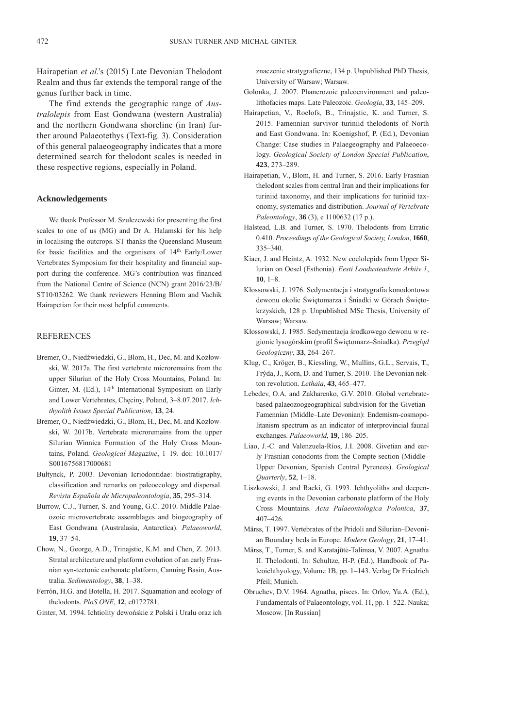Hairapetian *et al*.'s (2015) Late Devonian Thelodont Realm and thus far extends the temporal range of the genus further back in time.

The find extends the geographic range of *Australolepis* from East Gondwana (western Australia) and the northern Gondwana shoreline (in Iran) further around Palaeotethys (Text-fig. 3). Consideration of this general palaeogeography indicates that a more determined search for thelodont scales is needed in these respective regions, especially in Poland.

#### **Acknowledgements**

We thank Professor M. Szulczewski for presenting the first scales to one of us (MG) and Dr A. Halamski for his help in localising the outcrops. ST thanks the Queensland Museum for basic facilities and the organisers of 14<sup>th</sup> Early/Lower Vertebrates Symposium for their hospitality and financial support during the conference. MG's contribution was financed from the National Centre of Science (NCN) grant 2016/23/B/ ST10/03262. We thank reviewers Henning Blom and Vachik Hairapetian for their most helpful comments.

### REFERENCES

- Bremer, O., Niedźwiedzki, G., Blom, H., Dec, M. and Kozłowski, W. 2017a. The first vertebrate microremains from the upper Silurian of the Holy Cross Mountains, Poland. In: Ginter, M. (Ed.), 14<sup>th</sup> International Symposium on Early and Lower Vertebrates, Chęciny, Poland, 3–8.07.2017. *Ichthyolith Issues Special Publication*, **13**, 24.
- Bremer, O., Niedźwiedzki, G., Blom, H., Dec, M. and Kozłowski, W. 2017b. Vertebrate microremains from the upper Silurian Winnica Formation of the Holy Cross Mountains, Poland. *Geological Magazine*, 1–19. doi: 10.1017/ S0016756817000681
- Bultynck, P. 2003. Devonian Icriodontidae: biostratigraphy, classification and remarks on paleoecology and dispersal. *Revista Española de Micropaleontologia*, **35**, 295–314.
- Burrow, C.J., Turner, S. and Young, G.C. 2010. Middle Palaeozoic microvertebrate assemblages and biogeography of East Gondwana (Australasia, Antarctica). *Palaeoworld*, **19**, 37–54.
- Chow, N., George, A.D., Trinajstic, K.M. and Chen, Z. 2013. Stratal architecture and platform evolution of an early Frasnian syn-tectonic carbonate platform, Canning Basin, Australia. *Sedimentology*, **38**, 1–38.
- Ferrón, H.G. and Botella, H. 2017. Squamation and ecology of thelodonts. *PloS ONE*, **12**, e0172781.
- Ginter, M. 1994. Ichtiolity dewońskie z Polski i Uralu oraz ich

znaczenie stratygraficzne, 134 p. Unpublished PhD Thesis, University of Warsaw; Warsaw.

- Golonka, J. 2007. Phanerozoic paleoenvironment and paleolithofacies maps. Late Paleozoic. *Geologia*, **33**, 145–209.
- Hairapetian, V., Roelofs, B., Trinajstic, K. and Turner, S. 2015. Famennian survivor turiniid thelodonts of North and East Gondwana. In: Koenigshof, P. (Ed.), Devonian Change: Case studies in Palaegeography and Palaeoecology. *Geological Society of London Special Publication*, **423**, 273–289.
- Hairapetian, V., Blom, H. and Turner, S. 2016. Early Frasnian thelodont scales from central Iran and their implications for turiniid taxonomy, and their implications for turiniid taxonomy, systematics and distribution. *Journal of Vertebrate Paleontology*, **36** (3), e 1100632 (17 p.).
- Halstead, L.B. and Turner, S. 1970. Thelodonts from Erratic 0.410. *Proceedings of the Geological Society, London*, **1660**, 335–340.
- Kiaer, J. and Heintz, A. 1932. New coelolepids from Upper Silurian on Oesel (Esthonia). *Eesti Loodusteaduste Arhiiv 1*, **10**, 1–8.
- Kłossowski, J. 1976. Sedymentacja i stratygrafia konodontowa dewonu okolic Świętomarza i Śniadki w Górach Świętokrzyskich, 128 p. Unpublished MSc Thesis, University of Warsaw; Warsaw.
- Kłossowski, J. 1985. Sedymentacja środkowego dewonu w regionie łysogórskim (profil Świętomarz–Śniadka). *Przegląd Geologiczny*, **33**, 264–267.
- Klug, C., Kröger, B., Kiessling, W., Mullins, G.L., Servais, T., Frýda, J., Korn, D. and Turner, S. 2010. The Devonian nekton revolution. *Lethaia*, **43**, 465–477.
- Lebedev, O.A. and Zakharenko, G.V. 2010. Global vertebratebased palaeozoogeographical subdivision for the Givetian– Famennian (Middle–Late Devonian): Endemism-cosmopolitanism spectrum as an indicator of interprovincial faunal exchanges. *Palaeoworld*, **19**, 186–205.
- Liao, J.-C. and Valenzuela-Ríos, J.I. 2008. Givetian and early Frasnian conodonts from the Compte section (Middle– Upper Devonian, Spanish Central Pyrenees). *Geological Quarterly*, **52**, 1–18.
- Liszkowski, J. and Racki, G. 1993. Ichthyoliths and deepening events in the Devonian carbonate platform of the Holy Cross Mountains. *Acta Palaeontologica Polonica*, **37**, 407–426.
- Märss, T. 1997. Vertebrates of the Pridoli and Silurian–Devonian Boundary beds in Europe. *Modern Geology*, **21**, 17–41.
- Märss, T., Turner, S. and Karatajūtė-Talimaa, V. 2007. Agnatha II. Thelodonti. In: Schultze, H-P. (Ed.), Handbook of Paleoichthyology, Volume 1B, pp. 1–143. Verlag Dr Friedrich Pfeil; Munich.
- Obruchev, D.V. 1964. Agnatha, pisces. In: Orlov, Yu.A. (Ed.), Fundamentals of Palaeontology, vol. 11, pp. 1–522. Nauka; Moscow. [In Russian]